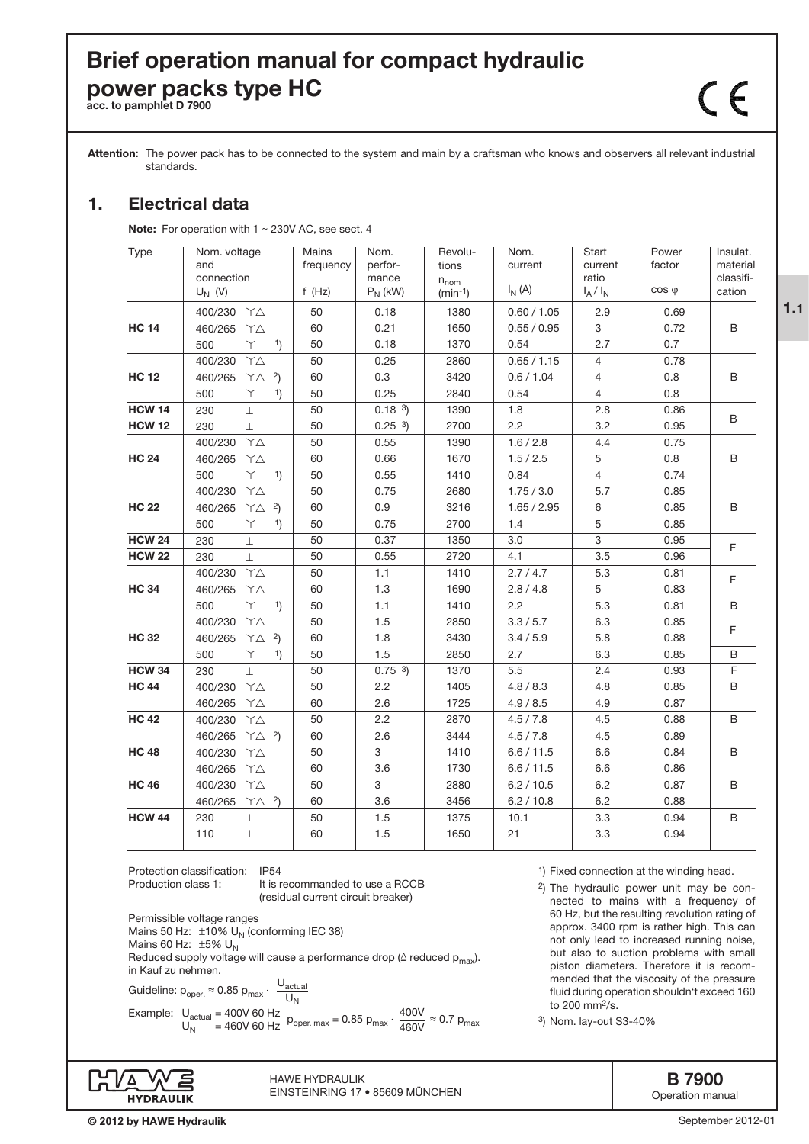# Brief operation manual for compact hydraulic power packs type HC

Attention: The power pack has to be connected to the system and main by a craftsman who knows and observers all relevant industrial standards.

## 1. Electrical data

Note: For operation with  $1 \sim 230V$  AC, see sect. 4

| Type          | Nom. voltage<br>and<br>connection<br>$U_N$ (V) | Mains<br>frequency<br>f $(Hz)$ | Nom.<br>perfor-<br>mance<br>$P_N$ (kW) | Revolu-<br>tions<br>$n_{nom}$<br>$(min-1)$ | Nom.<br>current<br>$I_N(A)$ | Start<br>current<br>ratio<br>$I_A/I_N$ | Power<br>factor<br>$cos \varphi$ | Insulat.<br>material<br>classifi-<br>cation |
|---------------|------------------------------------------------|--------------------------------|----------------------------------------|--------------------------------------------|-----------------------------|----------------------------------------|----------------------------------|---------------------------------------------|
|               | 400/230 YA                                     | 50                             | 0.18                                   | 1380                                       | 0.60 / 1.05                 | 2.9                                    | 0.69                             |                                             |
| <b>HC 14</b>  | 460/265<br>YΔ                                  | 60                             | 0.21                                   | 1650                                       | 0.55 / 0.95                 | 3                                      | 0.72                             | B                                           |
|               | 500<br>Y.<br>1)                                | 50                             | 0.18                                   | 1370                                       | 0.54                        | 2.7                                    | 0.7                              |                                             |
|               | 400/230<br>$Y\Delta$                           | 50                             | 0.25                                   | 2860                                       | 0.65 / 1.15                 | $\overline{4}$                         | 0.78                             |                                             |
| <b>HC 12</b>  | 460/265<br>$\uparrow \triangle$ 2)             | 60                             | 0.3                                    | 3420                                       | 0.6 / 1.04                  | $\overline{4}$                         | 0.8                              | B                                           |
|               | 500<br>Υ<br>1)                                 | 50                             | 0.25                                   | 2840                                       | 0.54                        | $\overline{4}$                         | 0.8                              |                                             |
| <b>HCW 14</b> | 230<br>$\perp$                                 | 50                             | 0.18 <sup>3</sup>                      | 1390                                       | 1.8                         | 2.8                                    | 0.86                             |                                             |
| <b>HCW 12</b> | 230<br>$\perp$                                 | 50                             | 0.25 <sup>3</sup>                      | 2700                                       | 2.2                         | 3.2                                    | 0.95                             | B                                           |
|               | 400/230<br>$\Upsilon\Delta$                    | 50                             | 0.55                                   | 1390                                       | 1.6 / 2.8                   | 4.4                                    | 0.75                             |                                             |
| <b>HC 24</b>  | 460/265<br>$\uparrow \triangle$                | 60                             | 0.66                                   | 1670                                       | 1.5 / 2.5                   | 5                                      | 0.8                              | $\mathsf B$                                 |
|               | 500<br>Y.<br>1)                                | 50                             | 0.55                                   | 1410                                       | 0.84                        | $\overline{4}$                         | 0.74                             |                                             |
|               | 400/230<br>$Y\Delta$                           | 50                             | 0.75                                   | 2680                                       | 1.75 / 3.0                  | 5.7                                    | 0.85                             |                                             |
| <b>HC 22</b>  | 460/265<br>$\gamma$ $\triangle$ 2)             | 60                             | 0.9                                    | 3216                                       | 1.65 / 2.95                 | 6                                      | 0.85                             | B                                           |
|               | 500<br>Υ<br>1)                                 | 50                             | 0.75                                   | 2700                                       | 1.4                         | 5                                      | 0.85                             |                                             |
| <b>HCW 24</b> | 230<br>$\mathbb{R}$                            | 50                             | 0.37                                   | 1350                                       | 3.0                         | $\overline{3}$                         | 0.95                             | $\mathsf F$                                 |
| <b>HCW 22</b> | 230<br>工                                       | 50                             | 0.55                                   | 2720                                       | 4.1                         | 3.5                                    | 0.96                             |                                             |
|               | $\Delta \Upsilon$<br>400/230                   | 50                             | 1.1                                    | 1410                                       | 2.7/4.7                     | 5.3                                    | 0.81                             | $\mathsf F$                                 |
| <b>HC 34</b>  | 460/265<br>YΔ                                  | 60                             | 1.3                                    | 1690                                       | 2.8 / 4.8                   | 5                                      | 0.83                             |                                             |
|               | 500<br>Y.<br>1)                                | 50                             | 1.1                                    | 1410                                       | 2.2                         | 5.3                                    | 0.81                             | B                                           |
|               | 400/230<br>$\gamma_{\Delta}$                   | 50                             | 1.5                                    | 2850                                       | 3.3 / 5.7                   | 6.3                                    | 0.85                             | $\mathsf F$                                 |
| <b>HC 32</b>  | 460/265<br>$\uparrow \triangle$ 2)             | 60                             | 1.8                                    | 3430                                       | 3.4 / 5.9                   | 5.8                                    | 0.88                             |                                             |
|               | 500<br>Υ<br>1)                                 | 50                             | 1.5                                    | 2850                                       | 2.7                         | 6.3                                    | 0.85                             | В                                           |
| <b>HCW 34</b> | 230<br>$\perp$                                 | 50                             | 0.75 <sup>3</sup>                      | 1370                                       | 5.5                         | 2.4                                    | 0.93                             | F                                           |
| <b>HC 44</b>  | $\uparrow \triangle$<br>400/230                | 50                             | 2.2                                    | 1405                                       | 4.8 / 8.3                   | 4.8                                    | 0.85                             | B                                           |
|               | 460/265<br>$\uparrow \triangle$                | 60                             | 2.6                                    | 1725                                       | 4.9 / 8.5                   | 4.9                                    | 0.87                             |                                             |
| <b>HC 42</b>  | 400/230<br>YΔ                                  | 50                             | 2.2                                    | 2870                                       | 4.5 / 7.8                   | 4.5                                    | 0.88                             | B                                           |
|               | 460/265<br>$\uparrow \triangle$ 2)             | 60                             | 2.6                                    | 3444                                       | 4.5 / 7.8                   | 4.5                                    | 0.89                             |                                             |
| <b>HC 48</b>  | 400/230<br>YΔ                                  | 50                             | 3                                      | 1410                                       | 6.6 / 11.5                  | 6.6                                    | 0.84                             | B                                           |
|               | 460/265<br>YΔ                                  | 60                             | 3.6                                    | 1730                                       | 6.6 / 11.5                  | 6.6                                    | 0.86                             |                                             |
| <b>HC 46</b>  | 400/230<br>$\Delta Y$                          | 50                             | 3                                      | 2880                                       | 6.2 / 10.5                  | 6.2                                    | 0.87                             | B                                           |
|               | 460/265<br>$\uparrow \triangle$ 2)             | 60                             | 3.6                                    | 3456                                       | 6.2 / 10.8                  | 6.2                                    | 0.88                             |                                             |
| <b>HCW 44</b> | 230<br>$\perp$                                 | 50                             | 1.5                                    | 1375                                       | 10.1                        | 3.3                                    | 0.94                             | B                                           |
|               | 110<br>$\bot$                                  | 60                             | 1.5                                    | 1650                                       | 21                          | 3.3                                    | 0.94                             |                                             |
|               |                                                |                                |                                        |                                            |                             |                                        |                                  |                                             |

Permissible voltage ranges Mains 50 Hz:  $\pm 10\%$  U<sub>N</sub> (conforming IEC 38) Mains 60 Hz:  $\pm 5\%$  U<sub>N</sub> Reduced supply voltage will cause a performance drop ( $\triangle$  reduced  $p_{max}$ ). in Kauf zu nehmen. Guideline:  $p_{\text{oper.}} \approx 0.85 p_{\text{max}} \cdot \frac{U_{\text{actual}}}{11}$ Protection classification: IP54<br>Production class 1: It is r It is recommanded to use a RCCB (residual current circuit breaker)

 $U_N$ 

Example:  $U_{\text{actual}} = 400V$  60 Hz  $U_{\text{actual}} = 400V$  60 Hz<br> $U_{\text{N}} = 460V$  60 Hz Poper. max = 0.85 Pmax  $\cdot \frac{400V}{460V} \approx 0.7$  Pmax 460V

1) Fixed connection at the winding head.

2) The hydraulic power unit may be connected to mains with a frequency of 60 Hz, but the resulting revolution rating of approx. 3400 rpm is rather high. This can not only lead to increased running noise, but also to suction problems with small piston diameters. Therefore it is recommended that the viscosity of the pressure fluid during operation shouldn't exceed 160 to 200 mm2/s.

3) Nom. lay-out S3-40%



HAWE HydrAulik EINSTEINRING 17 • 85609 MÜNCHEN 1.1

 $\epsilon$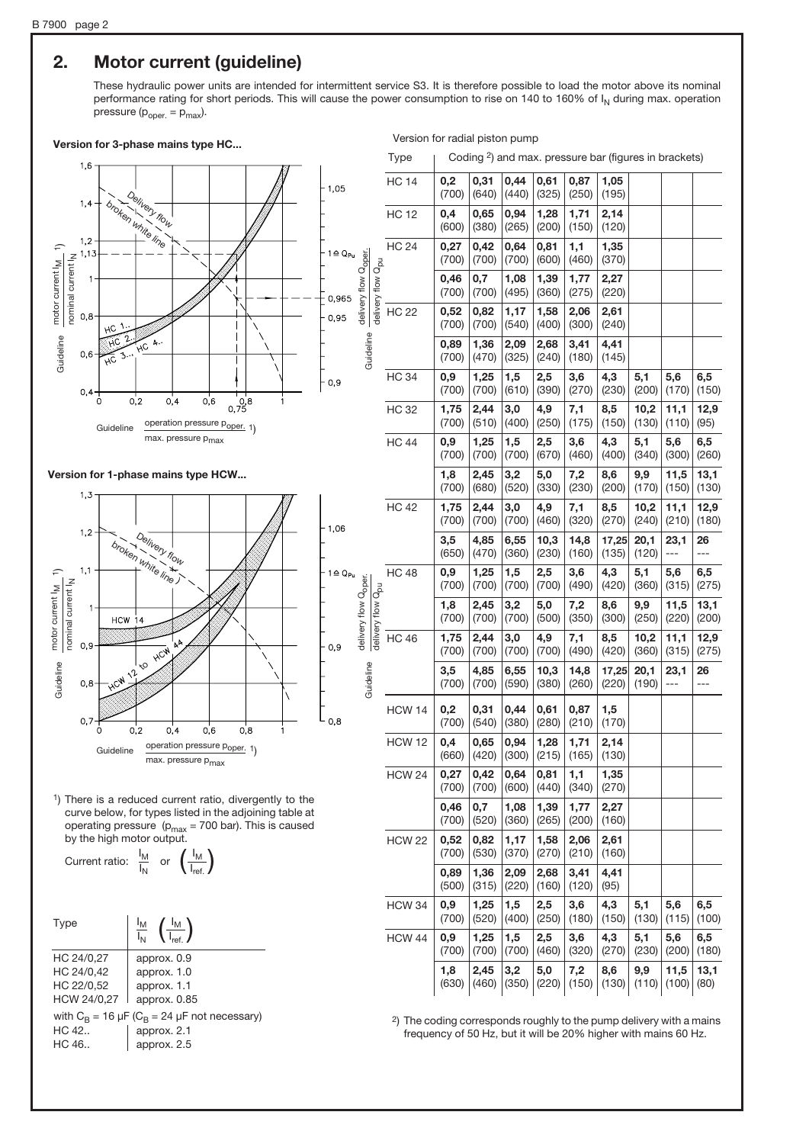## 2. Motor current (guideline)

These hydraulic power units are intended for intermittent service S3. It is therefore possible to load the motor above its nominal performance rating for short periods. This will cause the power consumption to rise on 140 to 160% of I<sub>N</sub> during max. operation pressure  $(p_{\text{oper.}} = p_{\text{max}})$ .

delivery flow Q<sub>oper.</sub><br>Guideline

Guideline

delivery flow

' Qoper.

deline delivery flow Q<sub>oper.</sub>

auideline

delivery flow Q<sub>oper</sub>

## Version for 3-phase mains type HC... Version for radial piston pump

Type | Coding <sup>2</sup>) and max. pressure bar (figures in brackets)



#### Version for 1-phase mains type HCW...



1) There is a reduced current ratio, divergently to the curve below, for types listed in the adjoining table at operating pressure ( $p_{max}$  = 700 bar). This is caused by the high motor output.

Current ratio: 
$$
\frac{I_M}{I_N}
$$
 or  $\left(\frac{I_M}{I_{ref.}}\right)$ 

| Type           | $\left(\frac{I_{\text{M}}}{I_{\text{ref}}}\right)$                                 |
|----------------|------------------------------------------------------------------------------------|
| HC 24/0,27     | approx. 0.9                                                                        |
| HC 24/0,42     | approx. 1.0                                                                        |
| HC 22/0,52     | approx. 1.1                                                                        |
| HCW 24/0,27    | approx. 0.85                                                                       |
| HC 42<br>HC.46 | with $C_B = 16 \mu F (C_B = 24 \mu F$ not necessary)<br>approx. 2.1<br>approx. 2.5 |

|                               | <b>HC 14</b>  | 0,2<br>(700)      | 0,31<br>(640) | 0,44<br>(440) | 0,61<br>(325) | 0,87<br>(250) | 1,05<br>(195)  |               |                                                               |               |
|-------------------------------|---------------|-------------------|---------------|---------------|---------------|---------------|----------------|---------------|---------------------------------------------------------------|---------------|
|                               | <b>HC 12</b>  | 0,4<br>(600)      | 0,65<br>(380) | 0,94<br>(265) | 1,28<br>(200) | 1,71<br>(150) | 2,14<br>(120)  |               |                                                               |               |
|                               | <b>HC 24</b>  | 0,27<br>(700)     | 0,42<br>(700) | 0,64<br>(700) | 0,81<br>(600) | 1,1<br>(460)  | 1,35<br>(370)  |               |                                                               |               |
| delivery flow Q <sub>pu</sub> |               | 0,46<br>(700)     | 0,7<br>(700)  | 1,08<br>(495) | 1,39<br>(360) | 1,77<br>(275) | 2,27<br>(220)  |               |                                                               |               |
|                               | <b>HC 22</b>  | 0,52<br>(700)     | 0,82<br>(700) | 1,17<br>(540) | 1,58<br>(400) | 2,06<br>(300) | 2,61<br>(240)  |               |                                                               |               |
|                               |               | 0,89<br>(700)     | 1,36<br>(470) | 2,09<br>(325) | 2,68<br>(240) | 3,41<br>(180) | 4,41<br>(145)  |               |                                                               |               |
|                               | <b>HC 34</b>  | $_{0,9}$<br>(700) | 1,25<br>(700) | 1,5<br>(610)  | 2,5<br>(390)  | 3,6<br>(270)  | 4,3<br>(230)   | 5,1<br>(200)  | 5,6<br>(170)                                                  | 6,5<br>(150)  |
|                               | <b>HC 32</b>  | 1,75<br>(700)     | 2,44<br>(510) | 3,0<br>(400)  | 4,9<br>(250)  | 7,1<br>(175)  | 8,5<br>(150)   | 10,2<br>(130) | 11,1<br>(110)                                                 | 12,9<br>(95)  |
|                               | <b>HC 44</b>  | 0,9<br>(700)      | 1,25<br>(700) | 1,5<br>(700)  | 2,5<br>(670)  | 3,6<br>(460)  | 4,3<br>(400)   | 5,1<br>(340)  | 5,6<br>(300)                                                  | 6,5<br>(260)  |
|                               |               | 1,8<br>(700)      | 2,45<br>(680) | 3,2<br>(520)  | 5,0<br>(330)  | 7,2<br>(230)  | 8,6<br>(200)   | 9,9<br>(170)  | 11,5<br>(150)<br>11,1<br>(210)<br>23,1<br>---<br>5,6<br>(315) | 13,1<br>(130) |
|                               | <b>HC 42</b>  | 1,75<br>(700)     | 2,44<br>(700) | 3,0<br>(700)  | 4,9<br>(460)  | 7,1<br>(320)  | 8,5<br>(270)   | 10,2<br>(240) |                                                               | 12,9<br>(180) |
|                               |               | 3,5<br>(650)      | 4,85<br>(470) | 6,55<br>(360) | 10,3<br>(230) | 14,8<br>(160) | 17,25<br>(135) | 20,1<br>(120) |                                                               | 26<br>---     |
|                               | <b>HC 48</b>  | 0,9<br>(700)      | 1,25<br>(700) | 1,5<br>(700)  | 2,5<br>(700)  | 3,6<br>(490)  | 4,3<br>(420)   | 5,1<br>(360)  |                                                               | 6,5<br>(275)  |
| delivery flow Q <sub>pu</sub> |               | 1,8<br>(700)      | 2,45<br>(700) | 3,2<br>(700)  | 5,0<br>(500)  | 7,2<br>(350)  | 8,6<br>(300)   | 9,9<br>(250)  | 11,5<br>(220)                                                 | 13,1<br>(200) |
|                               | HC 46         | 1,75<br>(700)     | 2,44<br>(700) | 3,0<br>(700)  | 4,9<br>(700)  | 7,1<br>(490)  | 8,5<br>(420)   | 10,2<br>(360) | 11,1<br>(315)                                                 | 12,9<br>(275) |
|                               |               | 3,5<br>(700)      | 4,85<br>(700) | 6,55<br>(590) | 10,3<br>(380) | 14,8<br>(260) | 17,25<br>(220) | 20,1<br>(190) | 23,1<br>---                                                   | 26<br>---     |
|                               | <b>HCW 14</b> | 0,2<br>(700)      | 0,31<br>(540) | 0,44<br>(380) | 0,61<br>(280) | 0,87<br>(210) | 1,5<br>(170)   |               |                                                               |               |
|                               | <b>HCW 12</b> | 0,4<br>(660)      | 0,65<br>(420) | 0,94<br>(300) | 1,28<br>(215) | 1,71<br>(165) | 2,14<br>(130)  |               |                                                               |               |
|                               | <b>HCW 24</b> | 0,27<br>(700)     | 0,42<br>(700) | 0,64<br>(600) | 0,81<br>(440) | 1,1<br>(340)  | 1,35<br>(270)  |               |                                                               |               |
|                               |               | 0,46<br>(700)     | 0,7<br>(520)  | 1,08<br>(360) | 1,39<br>(265) | 1,77<br>(200) | 2,27<br>(160)  |               |                                                               |               |
|                               | <b>HCW 22</b> | 0,52<br>(700)     | 0,82<br>(530) | 1,17<br>(370) | 1,58<br>(270) | 2,06<br>(210) | 2,61<br>(160)  |               |                                                               |               |
|                               |               | 0,89<br>(500)     | 1,36<br>(315) | 2,09<br>(220) | 2,68<br>(160) | 3,41<br>(120) | 4,41<br>(95)   |               |                                                               |               |
|                               | <b>HCW 34</b> | 0,9<br>(700)      | 1,25<br>(520) | 1,5<br>(400)  | 2,5<br>(250)  | 3,6<br>(180)  | 4,3<br>(150)   | 5,1<br>(130)  | 5,6<br>(115)                                                  | 6,5<br>(100)  |
|                               | <b>HCW 44</b> | 0,9<br>(700)      | 1,25<br>(700) | 1,5<br>(700)  | 2,5<br>(460)  | 3,6<br>(320)  | 4,3<br>(270)   | 5,1<br>(230)  | 5,6<br>(200)                                                  | 6,5<br>(180)  |
|                               |               | 1,8<br>(630)      | 2,45<br>(460) | 3,2<br>(350)  | 5,0<br>(220)  | 7,2<br>(150)  | 8,6<br>(130)   | 9,9<br>(110)  | 11,5<br>(100)                                                 | 13,1<br>(80)  |

2) The coding corresponds roughly to the pump delivery with a mains frequency of 50 Hz, but it will be 20% higher with mains 60 Hz.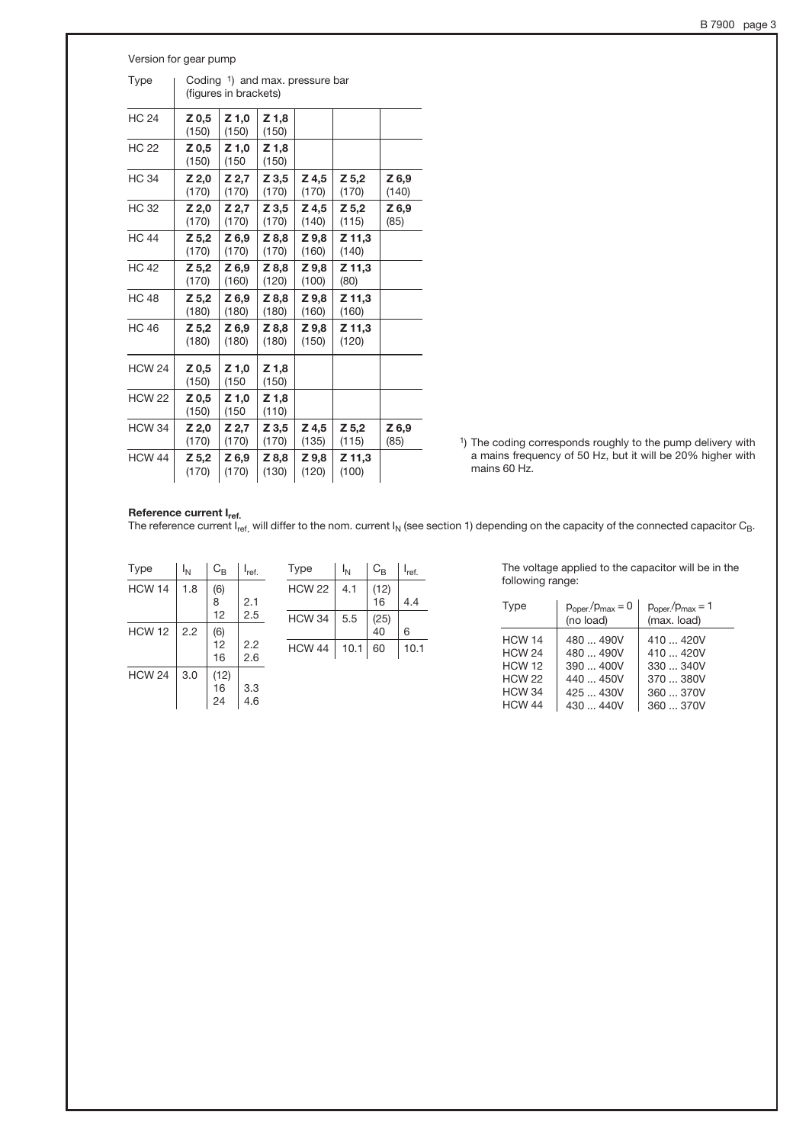| B 7900 | page 3 |  |
|--------|--------|--|
|        |        |  |

| Version for gear pump |                                                          |                  |                  |                |                  |                |  |  |
|-----------------------|----------------------------------------------------------|------------------|------------------|----------------|------------------|----------------|--|--|
| <b>Type</b>           | Coding 1) and max. pressure bar<br>(figures in brackets) |                  |                  |                |                  |                |  |  |
| <b>HC 24</b>          | Z 0,5<br>(150)                                           | $Z$ 1,0<br>(150) | Z 1,8<br>(150)   |                |                  |                |  |  |
| <b>HC 22</b>          | Z 0,5<br>(150)                                           | $Z$ 1.0<br>(150) | $Z$ 1.8<br>(150) |                |                  |                |  |  |
| <b>HC 34</b>          | Z 2,0<br>(170)                                           | Z 2,7<br>(170)   | Z 3,5<br>(170)   | Z 4,5<br>(170) | $Z$ 5,2<br>(170) | Z 6,9<br>(140) |  |  |
| <b>HC32</b>           | Z 2,0<br>(170)                                           | $Z$ 2,7<br>(170) | Z 3,5<br>(170)   | Z 4.5<br>(140) | $Z$ 5.2<br>(115) | Z 6,9<br>(85)  |  |  |
| <b>HC 44</b>          | Z 5,2<br>(170)                                           | Z 6,9<br>(170)   | Z 8,8<br>(170)   | Z 9,8<br>(160) | Z 11,3<br>(140)  |                |  |  |
| <b>HC 42</b>          | Z 5,2<br>(170)                                           | Z 6.9<br>(160)   | Z 8.8<br>(120)   | Z 9.8<br>(100) | Z 11.3<br>(80)   |                |  |  |
| <b>HC 48</b>          | $Z$ 5,2<br>(180)                                         | Z 6.9<br>(180)   | Z 8.8<br>(180)   | Z 9.8<br>(160) | Z 11.3<br>(160)  |                |  |  |
| <b>HC 46</b>          | Z 5,2<br>(180)                                           | Z 6.9<br>(180)   | Z 8.8<br>(180)   | Z 9.8<br>(150) | Z 11,3<br>(120)  |                |  |  |
| <b>HCW 24</b>         | Z 0,5<br>(150)                                           | Z 1,0<br>(150)   | Z 1,8<br>(150)   |                |                  |                |  |  |
| <b>HCW 22</b>         | Z 0,5<br>(150)                                           | Z 1,0<br>(150)   | Z 1,8<br>(110)   |                |                  |                |  |  |
| <b>HCW 34</b>         | Z 2,0<br>(170)                                           | Z 2,7<br>(170)   | Z 3,5<br>(170)   | Z 4,5<br>(135) | $Z$ 5.2<br>(115) | Z 6,9<br>(85)  |  |  |
| <b>HCW 44</b>         | Z 5,2<br>(170)                                           | Z 6,9<br>(170)   | Z 8,8<br>(130)   | Z 9,8<br>(120) | Z 11,3<br>(100)  |                |  |  |

1) The coding corresponds roughly to the pump delivery with a mains frequency of 50 Hz, but it will be 20% higher with mains 60 Hz.

#### Reference current I<sub>ref.</sub>

The reference current I<sub>ref.</sub> will differ to the nom. current I<sub>N</sub> (see section 1) depending on the capacity of the connected capacitor C<sub>B</sub>.

| <b>Type</b>   | ١ <sub>N</sub> | $C_{\mathsf{B}}$ | $I_{ref.}$ |
|---------------|----------------|------------------|------------|
| <b>HCW 14</b> | 1.8            | (6)<br>8<br>12   | 2.1<br>2.5 |
| <b>HCW 12</b> | 2.2            | (6)<br>12<br>16  | 2.2<br>2.6 |
| <b>HCW 24</b> | 3.0            | (12)<br>16<br>24 | 3.3<br>4.6 |

| Type          | ΙN  | $C_{B}$ | <sup>I</sup> ref. | Type          | Ι <sub>Ν</sub> | $C_{B}$ | I <sub>ref.</sub> |
|---------------|-----|---------|-------------------|---------------|----------------|---------|-------------------|
| <b>HCW 14</b> | 1.8 | (6)     |                   | <b>HCW 22</b> | 4.1            | (12)    |                   |
|               |     | 8       | 2.1               |               |                | 16      | 4.4               |
|               |     | 12      | 2.5               | <b>HCW 34</b> | 5.5            | (25)    |                   |
| <b>HCW 12</b> | 2.2 | (6)     |                   |               |                | 40      | 6                 |
|               |     | 12      | 2.2               | <b>HCW 44</b> | 10.1           | 60      | 10.1              |
|               |     | 16      | 26                |               |                |         |                   |

The voltage applied to the capacitor will be in the following range:

| Type                                                                              | $p_{\text{oper}}/p_{\text{max}} = 0$<br>(no load)                | $p_{\text{oper}}/p_{\text{max}} = 1$<br>(max. load)                     |
|-----------------------------------------------------------------------------------|------------------------------------------------------------------|-------------------------------------------------------------------------|
| <b>HCW 14</b><br><b>HCW 24</b><br><b>HCW 12</b><br><b>HCW 22</b><br><b>HCW 34</b> | 480  490V<br>480  490V<br>$390 - 400V$<br>440  450V<br>425  430V | $410 - 420V$<br>$410 - 420V$<br>$330 - 340V$<br>$370 - 380V$<br>360370V |
| <b>HCW 44</b>                                                                     | 430  440V                                                        | 360  370V                                                               |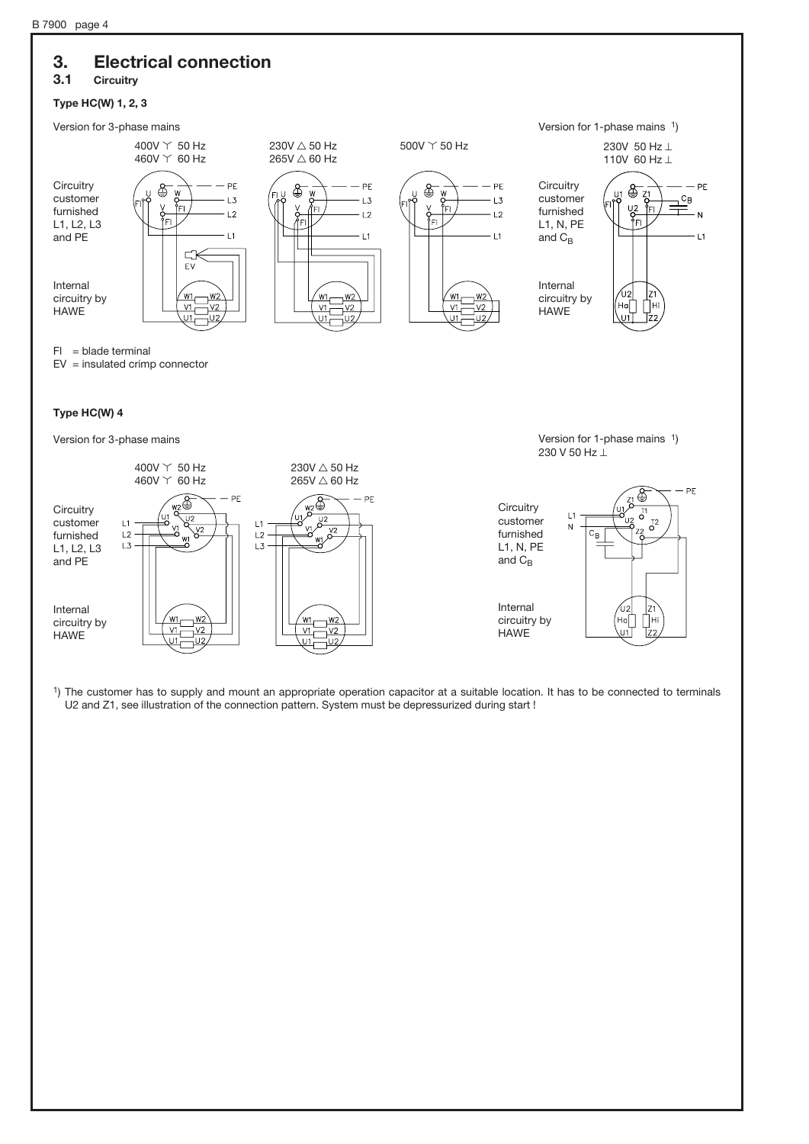# 3. Electrical connection

## 3.1 Circuitry

#### Type HC(W) 1, 2, 3



Internal circuitry by **HAWE** 

Internal circuitry by HAWE



1) The customer has to supply and mount an appropriate operation capacitor at a suitable location. It has to be connected to terminals U2 and Z1, see illustration of the connection pattern. System must be depressurized during start !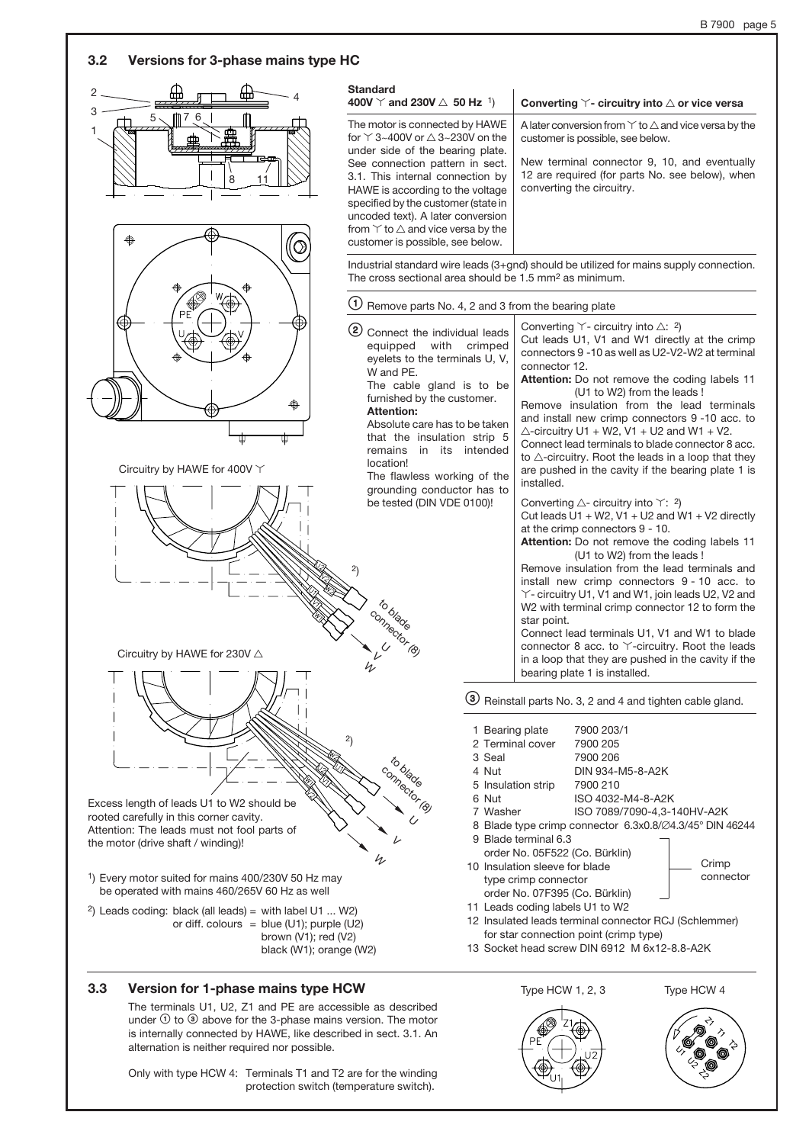

# The terminals U1, U2, Z1 and PE are accessible as described

under  $\theta$  to  $\theta$  above for the 3-phase mains version. The motor is internally connected by HAWE, like described in sect. 3.1. An alternation is neither required nor possible.

Only with type HCW 4: Terminals T1 and T2 are for the winding protection switch (temperature switch).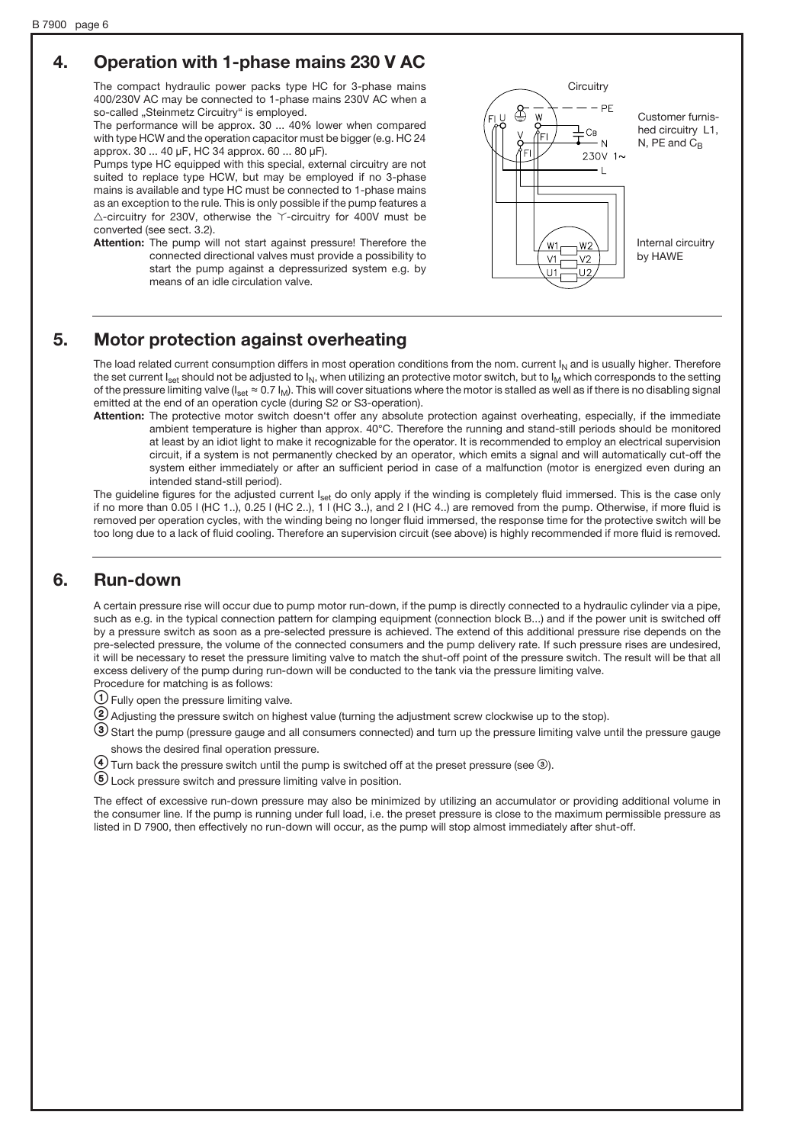# 4. Operation with 1-phase mains 230 V AC

The compact hydraulic power packs type HC for 3-phase mains 400/230V AC may be connected to 1-phase mains 230V AC when a so-called "Steinmetz Circuitry" is employed.

The performance will be approx. 30 ... 40% lower when compared with type HCW and the operation capacitor must be bigger (e.g. HC 24 approx. 30 ... 40 µF, HC 34 approx. 60 ... 80 µF).

Pumps type HC equipped with this special, external circuitry are not suited to replace type HCW, but may be employed if no 3-phase mains is available and type HC must be connected to 1-phase mains as an exception to the rule. This is only possible if the pump features a  $\triangle$ -circuitry for 230V, otherwise the  $\check{\ }$ -circuitry for 400V must be converted (see sect. 3.2).

Attention: The pump will not start against pressure! Therefore the connected directional valves must provide a possibility to start the pump against a depressurized system e.g. by means of an idle circulation valve.



## 5. Motor protection against overheating

The load related current consumption differs in most operation conditions from the nom. current  $I_N$  and is usually higher. Therefore the set current  $I_{\text{set}}$  should not be adjusted to  $I_N$ , when utilizing an protective motor switch, but to  $I_M$  which corresponds to the setting of the pressure limiting valve ( $I_{\text{set}} \approx 0.7 I_M$ ). This will cover situations where the motor is stalled as well as if there is no disabling signal emitted at the end of an operation cycle (during S2 or S3-operation).

Attention: The protective motor switch doesn't offer any absolute protection against overheating, especially, if the immediate ambient temperature is higher than approx. 40°C. Therefore the running and stand-still periods should be monitored at least by an idiot light to make it recognizable for the operator. It is recommended to employ an electrical supervision circuit, if a system is not permanently checked by an operator, which emits a signal and will automatically cut-off the system either immediately or after an sufficient period in case of a malfunction (motor is energized even during an intended stand-still period).

The guideline figures for the adjusted current I<sub>set</sub> do only apply if the winding is completely fluid immersed. This is the case only if no more than  $0.05$  | (HC 1..),  $0.25$  | (HC 2..), 1 | (HC 3..), and 2 | (HC 4..) are removed from the pump. Otherwise, if more fluid is removed per operation cycles, with the winding being no longer fluid immersed, the response time for the protective switch will be too long due to a lack of fluid cooling. Therefore an supervision circuit (see above) is highly recommended if more fluid is removed.

## 6. Run-down

A certain pressure rise will occur due to pump motor run-down, if the pump is directly connected to a hydraulic cylinder via a pipe, such as e.g. in the typical connection pattern for clamping equipment (connection block B...) and if the power unit is switched off by a pressure switch as soon as a pre-selected pressure is achieved. The extend of this additional pressure rise depends on the pre-selected pressure, the volume of the connected consumers and the pump delivery rate. If such pressure rises are undesired, it will be necessary to reset the pressure limiting valve to match the shut-off point of the pressure switch. The result will be that all excess delivery of the pump during run-down will be conducted to the tank via the pressure limiting valve. Procedure for matching is as follows:

 $\bigcirc$  Fully open the pressure limiting valve.

 $\Omega$  Adjusting the pressure switch on highest value (turning the adjustment screw clockwise up to the stop).

=Start the pump (pressure gauge and all consumers connected) and turn up the pressure limiting valve until the pressure gauge shows the desired final operation pressure.

 $\overline{4}$  Turn back the pressure switch until the pump is switched off at the preset pressure (see  $\circledcirc$ ).

?Lock pressure switch and pressure limiting valve in position.

The effect of excessive run-down pressure may also be minimized by utilizing an accumulator or providing additional volume in the consumer line. If the pump is running under full load, i.e. the preset pressure is close to the maximum permissible pressure as listed in D 7900, then effectively no run-down will occur, as the pump will stop almost immediately after shut-off.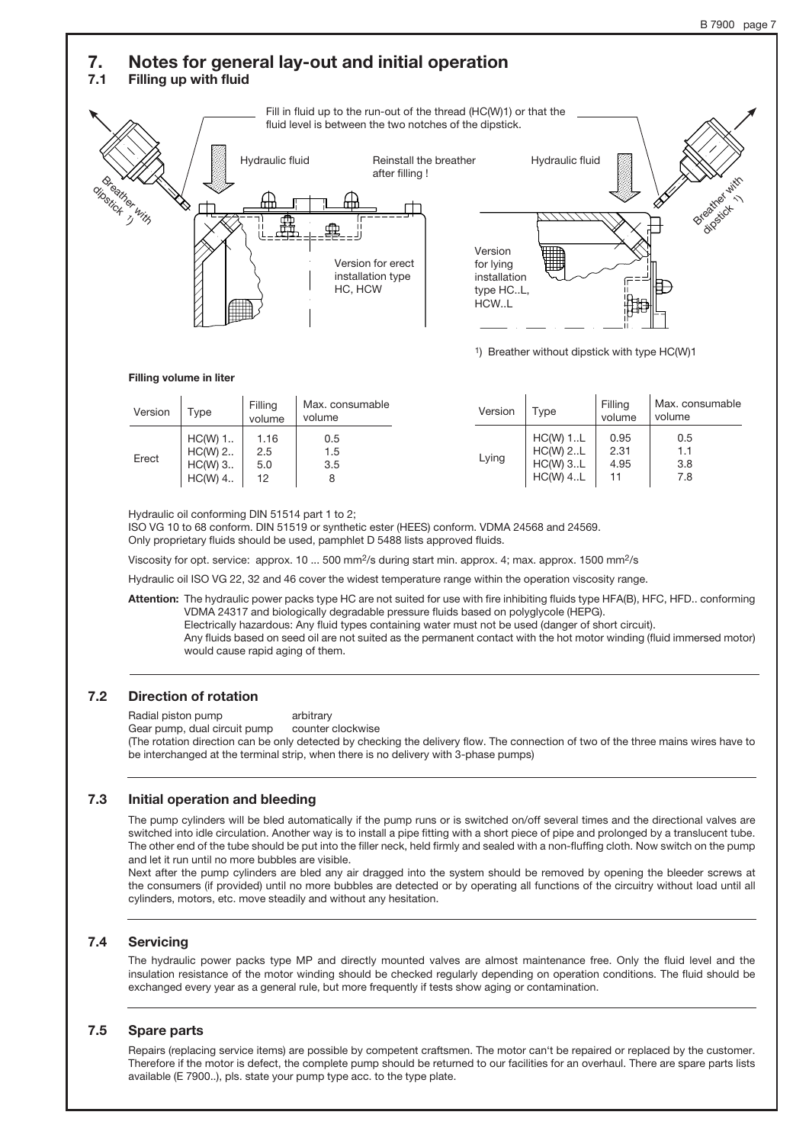#### 7. Notes for general lay-out and initial operation 7.1 Filling up with fluid Fill in fluid up to the run-out of the thread (HC(W)1) or that the fluid level is between the two notches of the dipstick. Hydraulic fluid Breather with dipstick 1 Breather dipstick Hydraulic fluid Version for erect installation type HC, HCW Version for lying installation type HC..L, HCW..L Reinstall the breather after filling ! 1) Breather without dipstick with type HC(W)1

#### Filling volume in liter

| Version | $\tau_\mathsf{ype}$                            | Filling<br>volume        | Max. consumable<br>volume | Version | Type                                                 | Filling<br>volume    | Max. consumable<br>volume |
|---------|------------------------------------------------|--------------------------|---------------------------|---------|------------------------------------------------------|----------------------|---------------------------|
| Erect   | $HC(W)$ 1<br>$HC(W)$ 2<br>$HC(W)$ 3<br>HC(W) 4 | 1.16<br>2.5<br>5.0<br>12 | 0.5<br>1.5<br>3.5<br>8    | Lying   | $HC(W)$ 1L<br>$HC(W)$ 2L<br>$HC(W)$ 3L<br>$HC(W)$ 4L | 0.95<br>2.31<br>4.95 | 0.5<br>1.1<br>3.8<br>7.8  |

Hydraulic oil conforming DIN 51514 part 1 to 2;

ISO VG 10 to 68 conform. DIN 51519 or synthetic ester (HEES) conform. VDMA 24568 and 24569.

Only proprietary fluids should be used, pamphlet D 5488 lists approved fluids.

Viscosity for opt. service: approx. 10 ... 500 mm2/s during start min. approx. 4; max. approx. 1500 mm2/s

Hydraulic oil ISO VG 22, 32 and 46 cover the widest temperature range within the operation viscosity range.

Attention: The hydraulic power packs type HC are not suited for use with fire inhibiting fluids type HFA(B), HFC, HFD.. conforming VDMA 24317 and biologically degradable pressure fluids based on polyglycole (HEPG). Electrically hazardous: Any fluid types containing water must not be used (danger of short circuit). Any fluids based on seed oil are not suited as the permanent contact with the hot motor winding (fluid immersed motor) would cause rapid aging of them.

#### 7.2 Direction of rotation

Radial piston pump arbitrary

Gear pump, dual circuit pump counter clockwise

(The rotation direction can be only detected by checking the delivery flow. The connection of two of the three mains wires have to be interchanged at the terminal strip, when there is no delivery with 3-phase pumps)

#### 7.3 Initial operation and bleeding

The pump cylinders will be bled automatically if the pump runs or is switched on/off several times and the directional valves are switched into idle circulation. Another way is to install a pipe fitting with a short piece of pipe and prolonged by a translucent tube. The other end of the tube should be put into the filler neck, held firmly and sealed with a non-fluffing cloth. Now switch on the pump and let it run until no more bubbles are visible.

Next after the pump cylinders are bled any air dragged into the system should be removed by opening the bleeder screws at the consumers (if provided) until no more bubbles are detected or by operating all functions of the circuitry without load until all cylinders, motors, etc. move steadily and without any hesitation.

#### 7.4 Servicing

The hydraulic power packs type MP and directly mounted valves are almost maintenance free. Only the fluid level and the insulation resistance of the motor winding should be checked regularly depending on operation conditions. The fluid should be exchanged every year as a general rule, but more frequently if tests show aging or contamination.

#### 7.5 Spare parts

Repairs (replacing service items) are possible by competent craftsmen. The motor can't be repaired or replaced by the customer. Therefore if the motor is defect, the complete pump should be returned to our facilities for an overhaul. There are spare parts lists available (E 7900..), pls. state your pump type acc. to the type plate.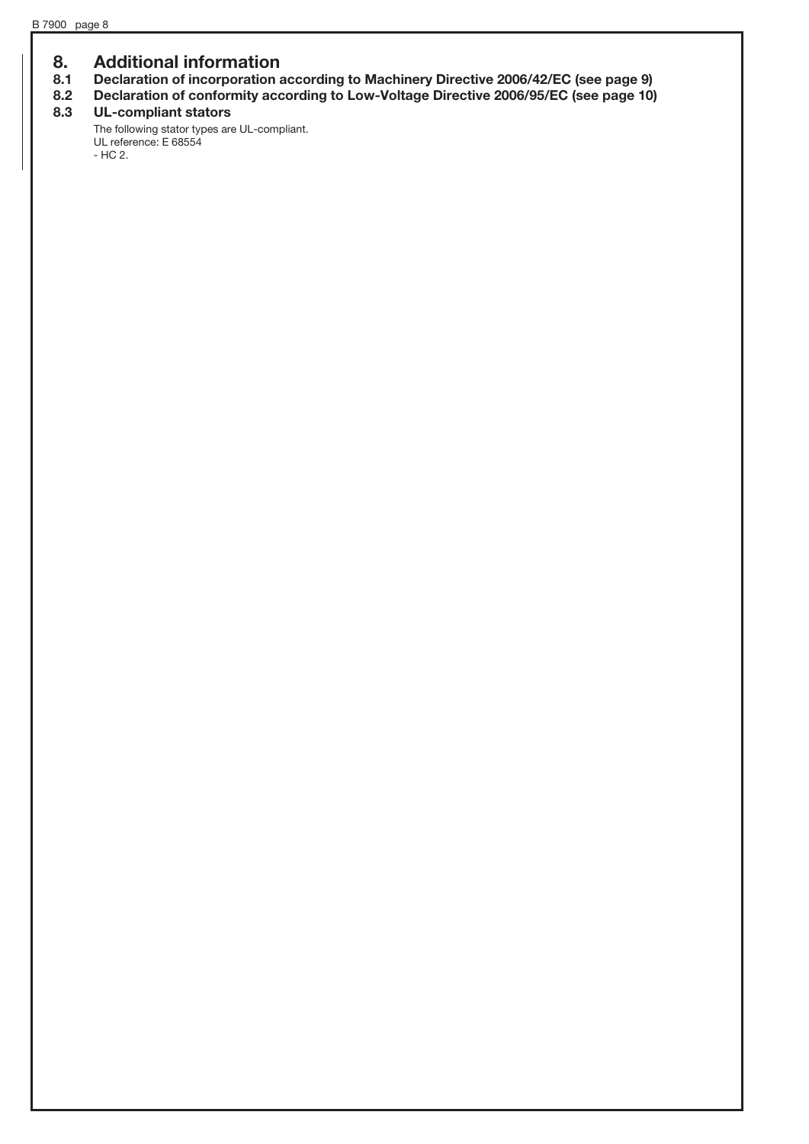### 8. Additional information

- 8.1 Declaration of incorporation according to Machinery Directive 2006/42/EC (see page 9)
- 8.2 Declaration of conformity according to Low-Voltage Directive 2006/95/EC (see page 10)<br>8.3 UL-compliant stators

### UL-compliant stators

The following stator types are UL-compliant. UL reference: E 68554 - HC 2.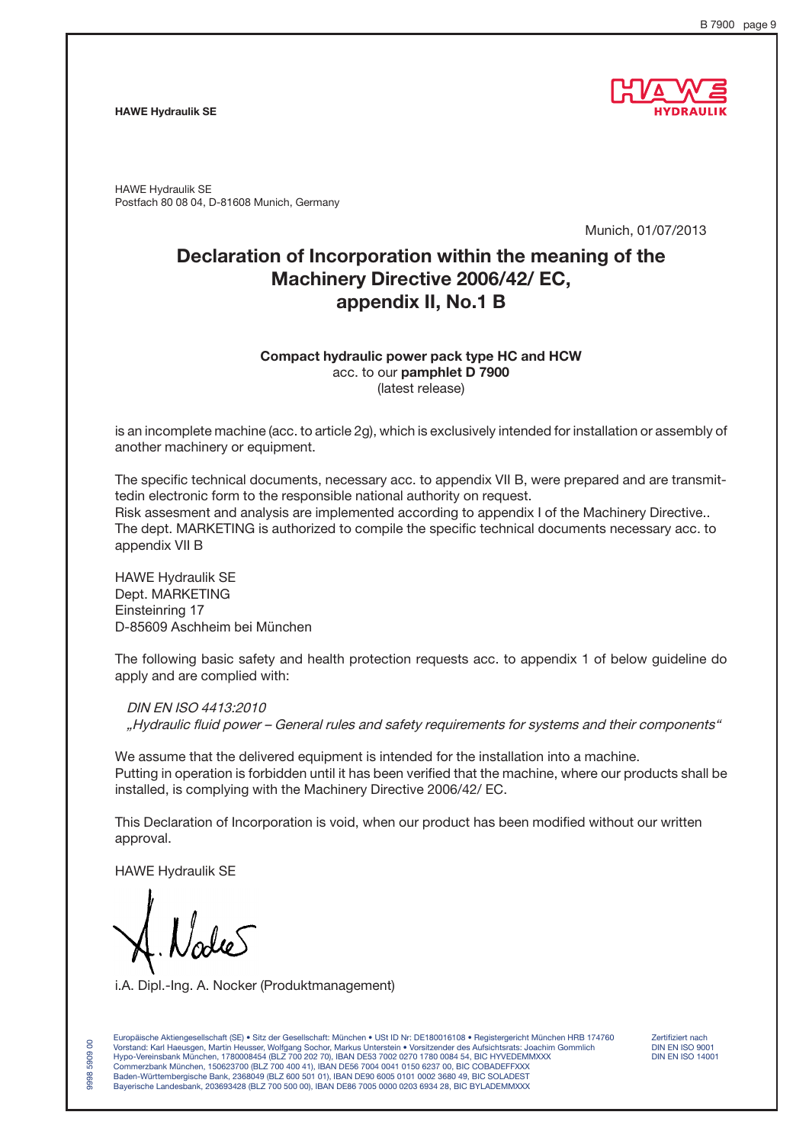#### HAWE Hydraulik SE



HAWE Hydraulik SE Postfach 80 08 04, D-81608 Munich, Germany

Munich, 01/07/2013

## Declaration of Incorporation within the meaning of the Machinery Directive 2006/42/ EC, appendix II, No.1 B

#### Compact hydraulic power pack type HC and HCW acc. to our pamphlet D 7900 (latest release)

is an incomplete machine (acc. to article 2g), which is exclusively intended for installation or assembly of another machinery or equipment.

The specific technical documents, necessary acc. to appendix VII B, were prepared and are transmittedin electronic form to the responsible national authority on request. Risk assesment and analysis are implemented according to appendix I of the Machinery Directive.. The dept. MARKETING is authorized to compile the specific technical documents necessary acc. to appendix VII B

HAWE Hydraulik SE Dept. MARKETING Einsteinring 17 D-85609 Aschheim bei München

The following basic safety and health protection requests acc. to appendix 1 of below guideline do apply and are complied with:

DIN EN ISO 4413:2010 "Hydraulic fluid power – General rules and safety requirements for systems and their components"

We assume that the delivered equipment is intended for the installation into a machine. Putting in operation is forbidden until it has been verified that the machine, where our products shall be installed, is complying with the Machinery Directive 2006/42/ EC.

This Declaration of Incorporation is void, when our product has been modified without our written approval.

HAWE Hydraulik SE

9998 5909 00

8 5909 9998

i.A. Dipl.-Ing. A. Nocker (Produktmanagement)

Europäische Aktiengesellschaft (SE) • Sitz der Gesellschaft: München • USt ID Nr: DE180016108 • Registergericht München HRB 174760 Zertifiziert nach Vorstand: Karl Haeusgen, Martin Heusser, Wolfgang Sochor, Markus Unterstein • Vorsitzender des Aufsichtsrats: Joachim Gommlich DIN EN ISO 9001 Hypo-Vereinsbank München, 1780008454 (BLZ 700 202 70), IBAN DE53 7002 0270 1780 0084 54, BIC HYVEDEMMXXX DIN EN ISO 14001 Commerzbank München, 150623700 (BLZ 700 400 41), IBAN DE56 7004 0041 0150 6237 00, BIC COBADEFFXXX Baden-Württembergische Bank, 2368049 (BLZ 600 501 01), IBAN DE90 6005 0101 0002 3680 49, BIC SOLADEST Bayerische Landesbank, 203693428 (BLZ 700 500 00), IBAN DE86 7005 0000 0203 6934 28, BIC BYLADEMMXXX